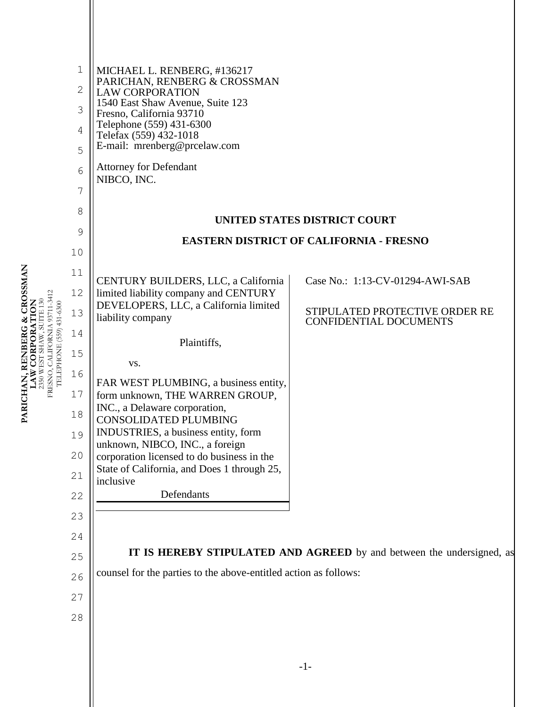|                          | $1\,$<br>$\mathbf 2$<br>3<br>4<br>5<br>6<br>7<br>8<br>9              | MICHAEL L. RENBERG, #136217<br>PARICHAN, RENBERG & CROSSMAN<br><b>LAW CORPORATION</b><br>1540 East Shaw Avenue, Suite 123<br>Fresno, California 93710<br>Telephone (559) 431-6300<br>Telefax (559) 432-1018<br>E-mail: mrenberg@prcelaw.com<br><b>Attorney for Defendant</b><br>NIBCO, INC.                                                                                                                                                                                                                     | UNITED STATES DISTRICT COURT                                                                       |  |
|--------------------------|----------------------------------------------------------------------|-----------------------------------------------------------------------------------------------------------------------------------------------------------------------------------------------------------------------------------------------------------------------------------------------------------------------------------------------------------------------------------------------------------------------------------------------------------------------------------------------------------------|----------------------------------------------------------------------------------------------------|--|
|                          | 10                                                                   | <b>EASTERN DISTRICT OF CALIFORNIA - FRESNO</b>                                                                                                                                                                                                                                                                                                                                                                                                                                                                  |                                                                                                    |  |
| TELEPHONE (559) 431-6300 | 11<br>12<br>13<br>14<br>15<br>16<br>17<br>18<br>19<br>20<br>21<br>22 | CENTURY BUILDERS, LLC, a California<br>limited liability company and CENTURY<br>DEVELOPERS, LLC, a California limited<br>liability company<br>Plaintiffs,<br>VS.<br>FAR WEST PLUMBING, a business entity,<br>form unknown, THE WARREN GROUP,<br>INC., a Delaware corporation,<br><b>CONSOLIDATED PLUMBING</b><br>INDUSTRIES, a business entity, form<br>unknown, NIBCO, INC., a foreign<br>corporation licensed to do business in the<br>State of California, and Does 1 through 25,<br>inclusive<br>Defendants | Case No.: 1:13-CV-01294-AWI-SAB<br>STIPULATED PROTECTIVE ORDER RE<br><b>CONFIDENTIAL DOCUMENTS</b> |  |
|                          | 23<br>24                                                             |                                                                                                                                                                                                                                                                                                                                                                                                                                                                                                                 | <b>IT IS HEREBY STIPULATED AND AGREED</b> by and between the undersigned, as                       |  |
|                          | 25<br>26                                                             | counsel for the parties to the above-entitled action as follows:                                                                                                                                                                                                                                                                                                                                                                                                                                                |                                                                                                    |  |
|                          | 27                                                                   |                                                                                                                                                                                                                                                                                                                                                                                                                                                                                                                 |                                                                                                    |  |
|                          | 28                                                                   |                                                                                                                                                                                                                                                                                                                                                                                                                                                                                                                 |                                                                                                    |  |
|                          |                                                                      |                                                                                                                                                                                                                                                                                                                                                                                                                                                                                                                 |                                                                                                    |  |

**PARICHAN, RENBERG & CROSSMAN<br>LAW CORPORATION<br>2350 WEST SHAW, SUITE 130<br>FRESNO, CALIFORNIA 93711-3412 PARICHAN, RENBERG & CROSSMAN**  FRESNO, CALIFORNIA 93711-3412 **LAW CORPORATION** 2350 WEST SHAW, SUITE 130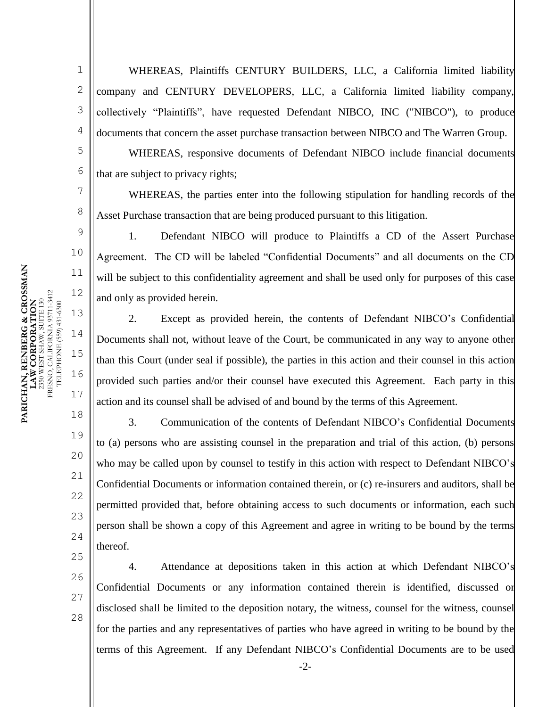5

6

7

8

9

10

11

12

13

14

15

16

17

18

19

20

21

22

23

24

25

1 2 3 4 WHEREAS, Plaintiffs CENTURY BUILDERS, LLC, a California limited liability company and CENTURY DEVELOPERS, LLC, a California limited liability company, collectively "Plaintiffs", have requested Defendant NIBCO, INC ("NIBCO"), to produce documents that concern the asset purchase transaction between NIBCO and The Warren Group.

WHEREAS, responsive documents of Defendant NIBCO include financial documents that are subject to privacy rights;

WHEREAS, the parties enter into the following stipulation for handling records of the Asset Purchase transaction that are being produced pursuant to this litigation.

1. Defendant NIBCO will produce to Plaintiffs a CD of the Assert Purchase Agreement. The CD will be labeled "Confidential Documents" and all documents on the CD will be subject to this confidentiality agreement and shall be used only for purposes of this case and only as provided herein.

2. Except as provided herein, the contents of Defendant NIBCO's Confidential Documents shall not, without leave of the Court, be communicated in any way to anyone other than this Court (under seal if possible), the parties in this action and their counsel in this action provided such parties and/or their counsel have executed this Agreement. Each party in this action and its counsel shall be advised of and bound by the terms of this Agreement.

3. Communication of the contents of Defendant NIBCO's Confidential Documents to (a) persons who are assisting counsel in the preparation and trial of this action, (b) persons who may be called upon by counsel to testify in this action with respect to Defendant NIBCO's Confidential Documents or information contained therein, or (c) re-insurers and auditors, shall be permitted provided that, before obtaining access to such documents or information, each such person shall be shown a copy of this Agreement and agree in writing to be bound by the terms thereof.

26 27

28

4. Attendance at depositions taken in this action at which Defendant NIBCO's Confidential Documents or any information contained therein is identified, discussed or disclosed shall be limited to the deposition notary, the witness, counsel for the witness, counsel for the parties and any representatives of parties who have agreed in writing to be bound by the terms of this Agreement. If any Defendant NIBCO's Confidential Documents are to be used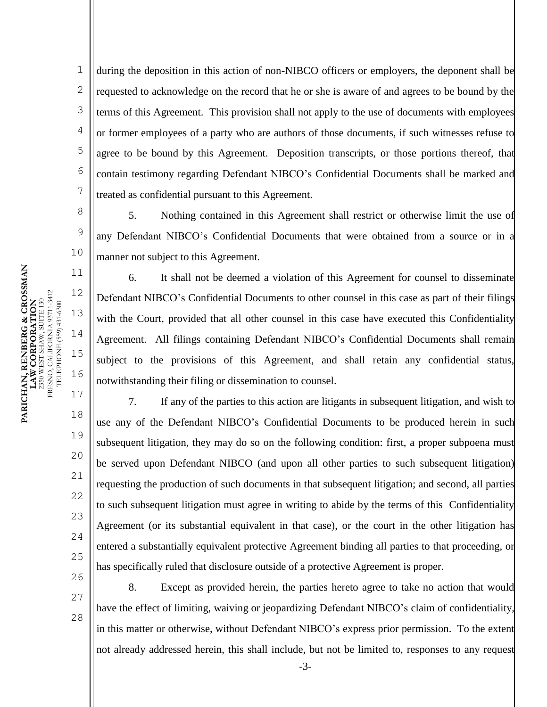during the deposition in this action of non-NIBCO officers or employers, the deponent shall be requested to acknowledge on the record that he or she is aware of and agrees to be bound by the terms of this Agreement. This provision shall not apply to the use of documents with employees or former employees of a party who are authors of those documents, if such witnesses refuse to agree to be bound by this Agreement. Deposition transcripts, or those portions thereof, that contain testimony regarding Defendant NIBCO's Confidential Documents shall be marked and treated as confidential pursuant to this Agreement.

5. Nothing contained in this Agreement shall restrict or otherwise limit the use of any Defendant NIBCO's Confidential Documents that were obtained from a source or in a manner not subject to this Agreement.

6. It shall not be deemed a violation of this Agreement for counsel to disseminate Defendant NIBCO's Confidential Documents to other counsel in this case as part of their filings with the Court, provided that all other counsel in this case have executed this Confidentiality Agreement. All filings containing Defendant NIBCO's Confidential Documents shall remain subject to the provisions of this Agreement, and shall retain any confidential status, notwithstanding their filing or dissemination to counsel.

7. If any of the parties to this action are litigants in subsequent litigation, and wish to use any of the Defendant NIBCO's Confidential Documents to be produced herein in such subsequent litigation, they may do so on the following condition: first, a proper subpoena must be served upon Defendant NIBCO (and upon all other parties to such subsequent litigation) requesting the production of such documents in that subsequent litigation; and second, all parties to such subsequent litigation must agree in writing to abide by the terms of this Confidentiality Agreement (or its substantial equivalent in that case), or the court in the other litigation has entered a substantially equivalent protective Agreement binding all parties to that proceeding, or has specifically ruled that disclosure outside of a protective Agreement is proper.

25 26 27

28

8. Except as provided herein, the parties hereto agree to take no action that would have the effect of limiting, waiving or jeopardizing Defendant NIBCO's claim of confidentiality, in this matter or otherwise, without Defendant NIBCO's express prior permission. To the extent not already addressed herein, this shall include, but not be limited to, responses to any request

1

2

3

4

5

6

7

8

9

10

11

12

13

14

15

16

17

18

19

20

21

22

23

24

-3-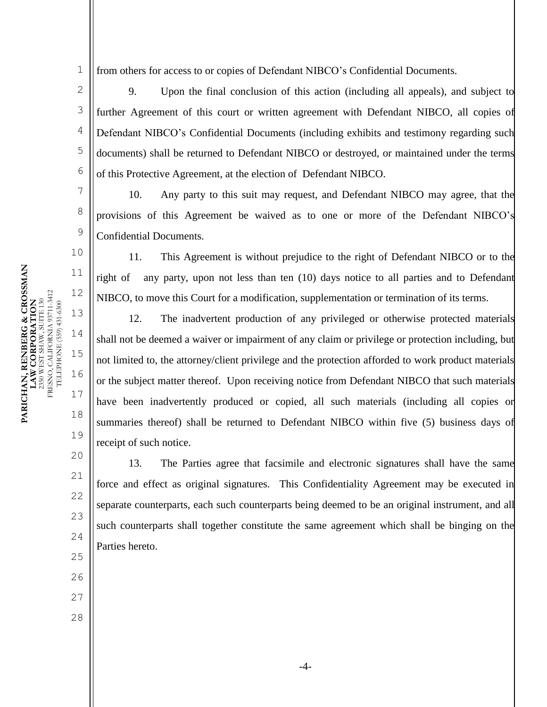1 from others for access to or copies of Defendant NIBCO's Confidential Documents.

9. Upon the final conclusion of this action (including all appeals), and subject to further Agreement of this court or written agreement with Defendant NIBCO, all copies of Defendant NIBCO's Confidential Documents (including exhibits and testimony regarding such documents) shall be returned to Defendant NIBCO or destroyed, or maintained under the terms of this Protective Agreement, at the election of Defendant NIBCO.

10. Any party to this suit may request, and Defendant NIBCO may agree, that the provisions of this Agreement be waived as to one or more of the Defendant NIBCO's Confidential Documents.

11. This Agreement is without prejudice to the right of Defendant NIBCO or to the right of any party, upon not less than ten (10) days notice to all parties and to Defendant NIBCO, to move this Court for a modification, supplementation or termination of its terms.

12. The inadvertent production of any privileged or otherwise protected materials shall not be deemed a waiver or impairment of any claim or privilege or protection including, but not limited to, the attorney/client privilege and the protection afforded to work product materials or the subject matter thereof. Upon receiving notice from Defendant NIBCO that such materials have been inadvertently produced or copied, all such materials (including all copies or summaries thereof) shall be returned to Defendant NIBCO within five (5) business days of receipt of such notice.

13. The Parties agree that facsimile and electronic signatures shall have the same force and effect as original signatures. This Confidentiality Agreement may be executed in separate counterparts, each such counterparts being deemed to be an original instrument, and all such counterparts shall together constitute the same agreement which shall be binging on the Parties hereto.

**PARICHAN, RENBERG & CROSSMAN**  PARICHAN, RENBERG & CROSSMAN<br>LAW CORPORATION RESNO, CALIFORNIA 93711-3412 FRESNO, CALIFORNIA 93711-3412 **LAW CORPORATION** 2350 WEST SHAW, SUITE 130 2350 WEST SHAW, SUITE 130 I'ELEPHONE (559) 431-6300 TELEPHONE (559) 431-6300 2

3

4

5

6

7

8

9

10

11

12

13

14

15

16

17

18

19

20

21

22

23

24

25

26

27

28